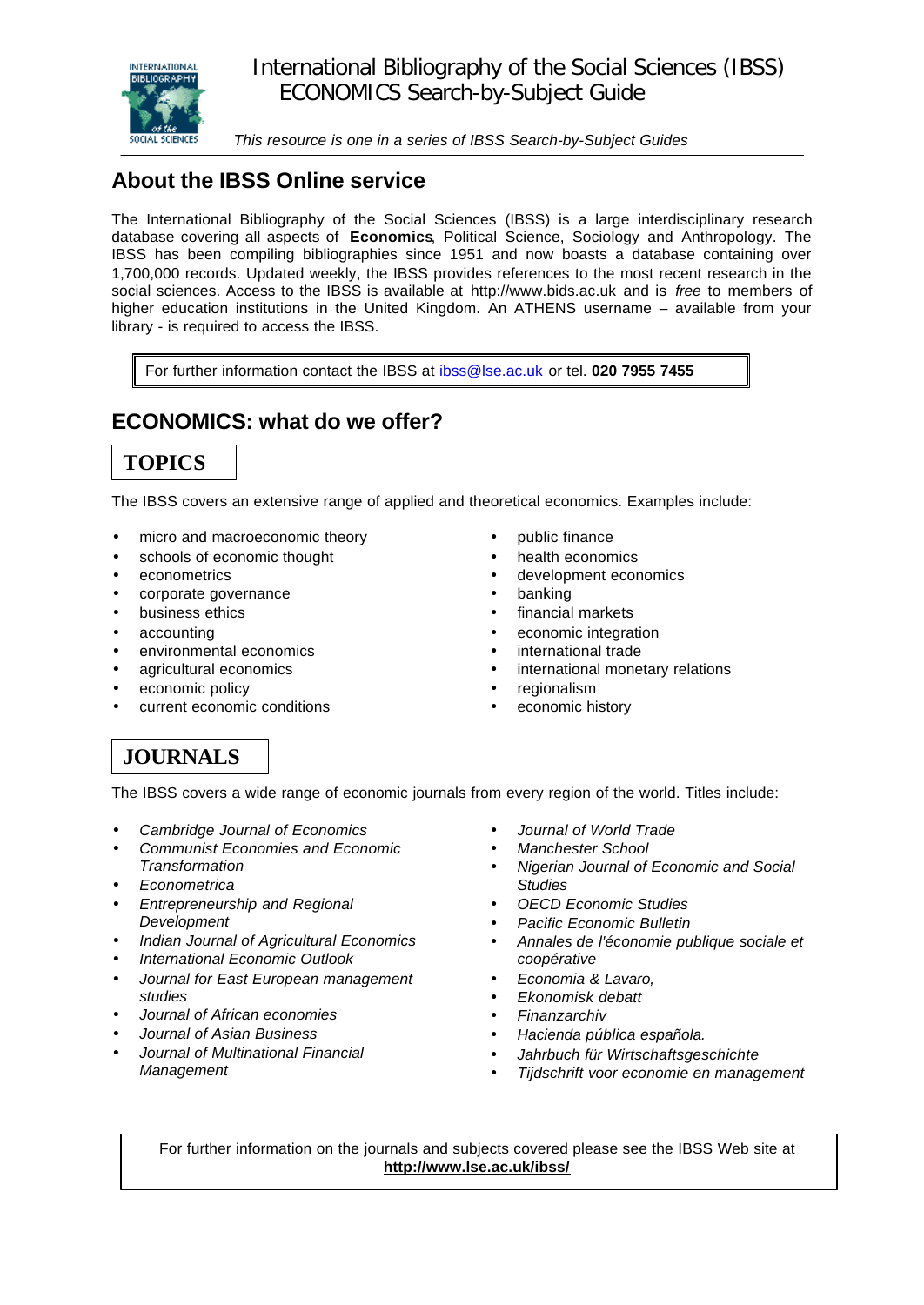

*This resource is one in a series of IBSS Search-by-Subject Guides*

# **About the IBSS Online service**

The International Bibliography of the Social Sciences (IBSS) is a large interdisciplinary research database covering all aspects of **Economics**, Political Science, Sociology and Anthropology. The IBSS has been compiling bibliographies since 1951 and now boasts a database containing over 1,700,000 records. Updated weekly, the IBSS provides references to the most recent research in the social sciences. Access to the IBSS is available at http://www.bids.ac.uk and is *free* to members of higher education institutions in the United Kingdom. An ATHENS username – available from your library - is required to access the IBSS.

For further information contact the IBSS at ibss@lse.ac.uk or tel. **020 7955 7455**

## **ECONOMICS: what do we offer?**



The IBSS covers an extensive range of applied and theoretical economics. Examples include:

- micro and macroeconomic theory
- schools of economic thought
- econometrics
- corporate governance
- business ethics
- accounting
- environmental economics
- agricultural economics
- economic policy
- current economic conditions
- public finance
- health economics
- development economics
- banking
- financial markets
- economic integration
- international trade
	- international monetary relations
	- regionalism
	- economic history

#### **JOURNALS**

The IBSS covers a wide range of economic journals from every region of the world. Titles include:

- *Cambridge Journal of Economics*
- *Communist Economies and Economic Transformation*
- *Econometrica*
- *Entrepreneurship and Regional Development*
- *Indian Journal of Agricultural Economics*
- *International Economic Outlook*
- *Journal for East European management studies*
- *Journal of African economies*
- *Journal of Asian Business*
- *Journal of Multinational Financial Management*
- *Journal of World Trade*
- *Manchester School*
- *Nigerian Journal of Economic and Social Studies*
- *OECD Economic Studies*
- *Pacific Economic Bulletin*
- *Annales de l'économie publique sociale et coopérative*
- *Economia & Lavaro,*
- *Ekonomisk debatt*
- *Finanzarchiv*
- *Hacienda pública española.*
- *Jahrbuch für Wirtschaftsgeschichte*
- *Tijdschrift voor economie en management*

For further information on the journals and subjects covered please see the IBSS Web site at **http://www.lse.ac.uk/ibss/**